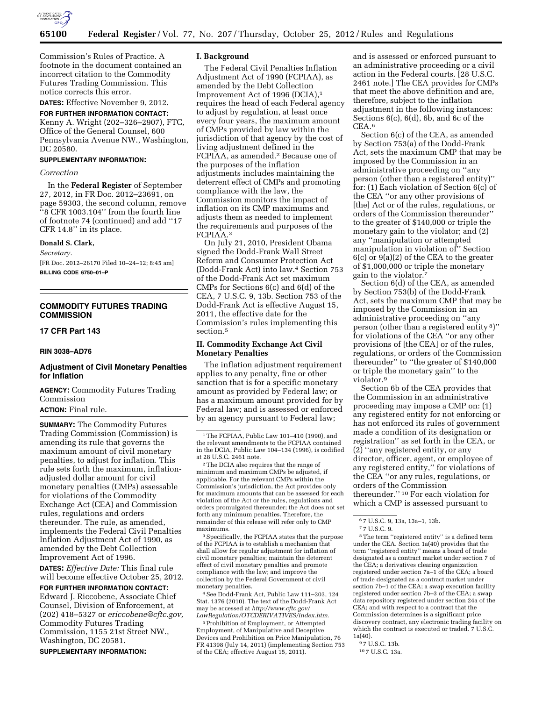

Commission's Rules of Practice. A footnote in the document contained an incorrect citation to the Commodity Futures Trading Commission. This notice corrects this error.

# **DATES:** Effective November 9, 2012.

**FOR FURTHER INFORMATION CONTACT:**  Kenny A. Wright (202–326–2907), FTC, Office of the General Counsel, 600 Pennsylvania Avenue NW., Washington, DC 20580.

## **SUPPLEMENTARY INFORMATION:**

## *Correction*

In the **Federal Register** of September 27, 2012, in FR Doc. 2012–23691, on page 59303, the second column, remove ''8 CFR 1003.104'' from the fourth line of footnote 74 (continued) and add ''17 CFR 14.8'' in its place.

## **Donald S. Clark,**

*Secretary.* 

[FR Doc. 2012–26170 Filed 10–24–12; 8:45 am] **BILLING CODE 6750–01–P** 

# **COMMODITY FUTURES TRADING COMMISSION**

# **17 CFR Part 143**

# **RIN 3038–AD76**

# **Adjustment of Civil Monetary Penalties for Inflation**

**AGENCY:** Commodity Futures Trading Commission

# **ACTION:** Final rule.

**SUMMARY:** The Commodity Futures Trading Commission (Commission) is amending its rule that governs the maximum amount of civil monetary penalties, to adjust for inflation. This rule sets forth the maximum, inflationadjusted dollar amount for civil monetary penalties (CMPs) assessable for violations of the Commodity Exchange Act (CEA) and Commission rules, regulations and orders thereunder. The rule, as amended, implements the Federal Civil Penalties Inflation Adjustment Act of 1990, as amended by the Debt Collection Improvement Act of 1996.

**DATES:** *Effective Date:* This final rule will become effective October 25, 2012.

**FOR FURTHER INFORMATION CONTACT:**  Edward J. Riccobene, Associate Chief Counsel, Division of Enforcement, at (202) 418–5327 or *[ericcobene@cftc.gov,](mailto:ericcobene@cftc.gov)*  Commodity Futures Trading Commission, 1155 21st Street NW., Washington, DC 20581.

**SUPPLEMENTARY INFORMATION:** 

## **I. Background**

The Federal Civil Penalties Inflation Adjustment Act of 1990 (FCPIAA), as amended by the Debt Collection Improvement Act of 1996 (DCIA),1 requires the head of each Federal agency to adjust by regulation, at least once every four years, the maximum amount of CMPs provided by law within the jurisdiction of that agency by the cost of living adjustment defined in the FCPIAA, as amended.2 Because one of the purposes of the inflation adjustments includes maintaining the deterrent effect of CMPs and promoting compliance with the law, the Commission monitors the impact of inflation on its CMP maximums and adjusts them as needed to implement the requirements and purposes of the FCPIAA.3

On July 21, 2010, President Obama signed the Dodd-Frank Wall Street Reform and Consumer Protection Act (Dodd-Frank Act) into law.4 Section 753 of the Dodd-Frank Act set maximum CMPs for Sections 6(c) and 6(d) of the CEA, 7 U.S.C. 9, 13b. Section 753 of the Dodd-Frank Act is effective August 15, 2011, the effective date for the Commission's rules implementing this section.5

# **II. Commodity Exchange Act Civil Monetary Penalties**

The inflation adjustment requirement applies to any penalty, fine or other sanction that is for a specific monetary amount as provided by Federal law; or has a maximum amount provided for by Federal law; and is assessed or enforced by an agency pursuant to Federal law;

2The DCIA also requires that the range of minimum and maximum CMPs be adjusted, if applicable. For the relevant CMPs within the Commission's jurisdiction, the Act provides only for maximum amounts that can be assessed for each violation of the Act or the rules, regulations and orders promulgated thereunder; the Act does not set forth any minimum penalties. Therefore, the remainder of this release will refer only to CMP maximums.

3Specifically, the FCPIAA states that the purpose of the FCPIAA is to establish a mechanism that shall allow for regular adjustment for inflation of civil monetary penalties; maintain the deterrent effect of civil monetary penalties and promote compliance with the law; and improve the collection by the Federal Government of civil monetary penalties.

4See Dodd-Frank Act, Public Law 111–203, 124 Stat. 1376 (2010). The text of the Dodd-Frank Act may be accessed at *[http://www.cftc.gov/](http://www.cftc.gov/LawRegulation/OTCDERIVATIVES/index.htm) [LawRegulation/OTCDERIVATIVES/index.htm.](http://www.cftc.gov/LawRegulation/OTCDERIVATIVES/index.htm)* 

5Prohibition of Employment, or Attempted Employment, of Manipulative and Deceptive Devices and Prohibition on Price Manipulation, 76 FR 41398 (July 14, 2011) (implementing Section 753 of the CEA; effective August 15, 2011).

and is assessed or enforced pursuant to an administrative proceeding or a civil action in the Federal courts. [28 U.S.C. 2461 note.] The CEA provides for CMPs that meet the above definition and are, therefore, subject to the inflation adjustment in the following instances: Sections 6(c), 6(d), 6b, and 6c of the CEA.6

Section 6(c) of the CEA, as amended by Section 753(a) of the Dodd-Frank Act, sets the maximum CMP that may be imposed by the Commission in an administrative proceeding on ''any person (other than a registered entity)'' for: (1) Each violation of Section 6(c) of the CEA ''or any other provisions of [the] Act or of the rules, regulations, or orders of the Commission thereunder'' to the greater of \$140,000 or triple the monetary gain to the violator; and (2) any ''manipulation or attempted manipulation in violation of'' Section 6(c) or 9(a)(2) of the CEA to the greater of \$1,000,000 or triple the monetary gain to the violator.7

Section 6(d) of the CEA, as amended by Section 753(b) of the Dodd-Frank Act, sets the maximum CMP that may be imposed by the Commission in an administrative proceeding on ''any person (other than a registered entity 8)'' for violations of the CEA ''or any other provisions of [the CEA] or of the rules, regulations, or orders of the Commission thereunder'' to ''the greater of \$140,000 or triple the monetary gain'' to the violator.9

Section 6b of the CEA provides that the Commission in an administrative proceeding may impose a CMP on: (1) any registered entity for not enforcing or has not enforced its rules of government made a condition of its designation or registration'' as set forth in the CEA, or (2) ''any registered entity, or any director, officer, agent, or employee of any registered entity,'' for violations of the CEA ''or any rules, regulations, or orders of the Commission thereunder.'' 10 For each violation for which a CMP is assessed pursuant to

 $^{\rm 8}\!$  The term ''registered entity'' is a defined term under the CEA. Section 1a(40) provides that the term ''registered entity'' means a board of trade designated as a contract market under section 7 of the CEA; a derivatives clearing organization registered under section 7a–1 of the CEA; a board of trade designated as a contract market under section 7b–1 of the CEA; a swap execution facility registered under section 7b–3 of the CEA; a swap data repository registered under section 24a of the CEA; and with respect to a contract that the Commission determines is a significant price discovery contract, any electronic trading facility on which the contract is executed or traded. 7 U.S.C. 1a(40).

9 7 U.S.C. 13b.

<sup>&</sup>lt;sup>1</sup>The FCPIAA, Public Law 101-410 (1990), and the relevant amendments to the FCPIAA contained in the DCIA, Public Law 104–134 (1996), is codified at 28 U.S.C. 2461 note.

<sup>6</sup> 7 U.S.C. 9, 13a, 13a–1, 13b.

<sup>7</sup> 7 U.S.C. 9.

<sup>10</sup> 7 U.S.C. 13a.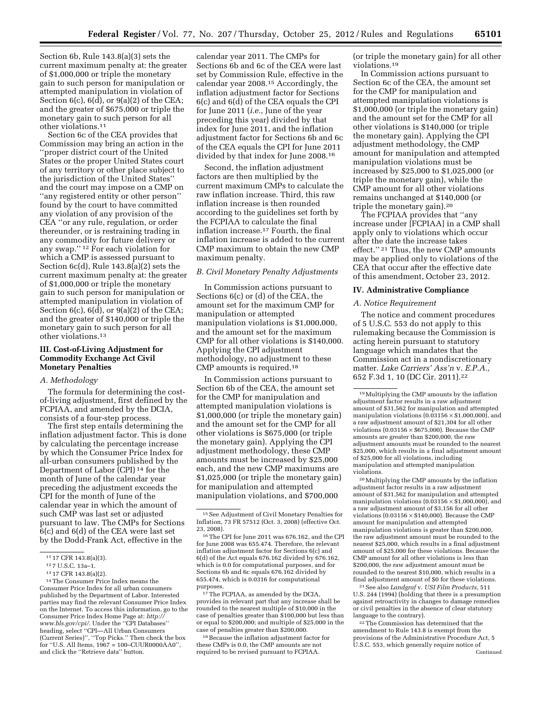Section 6b, Rule 143.8(a)(3) sets the current maximum penalty at: the greater of \$1,000,000 or triple the monetary gain to such person for manipulation or attempted manipulation in violation of Section  $6(c)$ ,  $6(d)$ , or  $9(a)(2)$  of the CEA; and the greater of \$675,000 or triple the monetary gain to such person for all other violations.11

Section 6c of the CEA provides that Commission may bring an action in the ''proper district court of the United States or the proper United States court of any territory or other place subject to the jurisdiction of the United States'' and the court may impose on a CMP on ''any registered entity or other person'' found by the court to have committed any violation of any provision of the CEA ''or any rule, regulation, or order thereunder, or is restraining trading in any commodity for future delivery or any swap.'' 12 For each violation for which a CMP is assessed pursuant to Section 6c(d), Rule 143.8(a)(2) sets the current maximum penalty at: the greater of \$1,000,000 or triple the monetary gain to such person for manipulation or attempted manipulation in violation of Section  $6(c)$ ,  $6(d)$ , or  $9(a)(2)$  of the CEA; and the greater of \$140,000 or triple the monetary gain to such person for all other violations.13

# **III. Cost-of-Living Adjustment for Commodity Exchange Act Civil Monetary Penalties**

## *A. Methodology*

The formula for determining the costof-living adjustment, first defined by the FCPIAA, and amended by the DCIA, consists of a four-step process.

The first step entails determining the inflation adjustment factor. This is done by calculating the percentage increase by which the Consumer Price Index for all-urban consumers published by the Department of Labor (CPI) 14 for the month of June of the calendar year preceding the adjustment exceeds the CPI for the month of June of the calendar year in which the amount of such CMP was last set or adjusted pursuant to law. The CMPs for Sections 6(c) and 6(d) of the CEA were last set by the Dodd-Frank Act, effective in the

calendar year 2011. The CMPs for Sections 6b and 6c of the CEA were last set by Commission Rule, effective in the calendar year 2008.15 Accordingly, the inflation adjustment factor for Sections 6(c) and 6(d) of the CEA equals the CPI for June 2011 (*i.e.,* June of the year preceding this year) divided by that index for June 2011, and the inflation adjustment factor for Sections 6b and 6c of the CEA equals the CPI for June 2011 divided by that index for June 2008.16

Second, the inflation adjustment factors are then multiplied by the current maximum CMPs to calculate the raw inflation increase. Third, this raw inflation increase is then rounded according to the guidelines set forth by the FCPIAA to calculate the final inflation increase.17 Fourth, the final inflation increase is added to the current CMP maximum to obtain the new CMP maximum penalty.

# *B. Civil Monetary Penalty Adjustments*

In Commission actions pursuant to Sections 6(c) or (d) of the CEA, the amount set for the maximum CMP for manipulation or attempted manipulation violations is \$1,000,000, and the amount set for the maximum CMP for all other violations is \$140,000. Applying the CPI adjustment methodology, no adjustment to these CMP amounts is required.18

In Commission actions pursuant to Section 6b of the CEA, the amount set for the CMP for manipulation and attempted manipulation violations is \$1,000,000 (or triple the monetary gain) and the amount set for the CMP for all other violations is \$675,000 (or triple the monetary gain). Applying the CPI adjustment methodology, these CMP amounts must be increased by \$25,000 each, and the new CMP maximums are \$1,025,000 (or triple the monetary gain) for manipulation and attempted manipulation violations, and \$700,000

17The FCPIAA, as amended by the DCIA, provides in relevant part that any increase shall be rounded to the nearest multiple of \$10,000 in the case of penalties greater than \$100,000 but less than or equal to \$200,000; and multiple of \$25,000 in the case of penalties greater than \$200,000.

18Because the inflation adjustment factor for these CMPs is 0.0, the CMP amounts are not required to be revised pursuant to FCPIAA.

(or triple the monetary gain) for all other violations.19

In Commission actions pursuant to Section 6c of the CEA, the amount set for the CMP for manipulation and attempted manipulation violations is \$1,000,000 (or triple the monetary gain) and the amount set for the CMP for all other violations is \$140,000 (or triple the monetary gain). Applying the CPI adjustment methodology, the CMP amount for manipulation and attempted manipulation violations must be increased by \$25,000 to \$1,025,000 (or triple the monetary gain), while the CMP amount for all other violations remains unchanged at \$140,000 (or triple the monetary gain).20

The FCPIAA provides that ''any increase under [FCPIAA] in a CMP shall apply only to violations which occur after the date the increase takes effect.'' 21 Thus, the new CMP amounts may be applied only to violations of the CEA that occur after the effective date of this amendment, October 23, 2012.

#### **IV. Administrative Compliance**

#### *A. Notice Requirement*

The notice and comment procedures of 5 U.S.C. 553 do not apply to this rulemaking because the Commission is acting herein pursuant to statutory language which mandates that the Commission act in a nondiscretionary matter. *Lake Carriers' Ass'n* v. *E.P.A.,*  652 F.3d 1, 10 (DC Cir. 2011).22

20Multiplying the CMP amounts by the inflation adjustment factor results in a raw adjustment amount of \$31,562 for manipulation and attempted manipulation violations  $(0.03156 \times $1,000,000)$ , and a raw adjustment amount of \$3,156 for all other violations  $(0.03156 \times $140,000)$ . Because the CMP amount for manipulation and attempted manipulation violations is greater than \$200,000, the raw adjustment amount must be rounded to the nearest \$25,000, which results in a final adjustment amount of \$25,000 for these violations. Because the CMP amount for all other violations is less than \$200,000, the raw adjustment amount must be rounded to the nearest \$10,000, which results in a final adjustment amount of \$0 for these violations.

21See also *Landgraf* v. *USI Film Products,* 511 U.S. 244 (1994) (holding that there is a presumption against retroactivity in changes to damage remedies or civil penalties in the absence of clear statutory language to the contrary).

22The Commission has determined that the amendment to Rule 143.8 is exempt from the provisions of the Administrative Procedure Act, 5 U.S.C. 553, which generally require notice of Continued

<sup>11</sup> 17 CFR 143.8(a)(3).

<sup>12</sup> 7 U.S.C. 13a–1.

<sup>13</sup> 17 CFR 143.8(a)(2).

<sup>14</sup>The Consumer Price Index means the Consumer Price Index for all urban consumers published by the Department of Labor. Interested parties may find the relevant Consumer Price Index on the Internet. To access this information, go to the Consumer Price Index Home Page at: *[http://](http://www.bls.gov/cpi/) [www.bls.gov/cpi/](http://www.bls.gov/cpi/)*. Under the ''CPI Databases'' heading, select ''CPI—All Urban Consumers (Current Series)'', ''Top Picks.'' Then check the box for ''U.S. All Items, 1967 = 100–CUUR0000AA0'', and click the ''Retrieve data'' button.

<sup>15</sup>See Adjustment of Civil Monetary Penalties for Inflation, 73 FR 57512 (Oct. 3, 2008) (effective Oct. 23, 2008).

<sup>16</sup>The CPI for June 2011 was 676.162, and the CPI for June 2008 was 655.474. Therefore, the relevant inflation adjustment factor for Sections 6(c) and 6(d) of the Act equals 676.162 divided by 676.162, which is 0.0 for computational purposes, and for Sections 6b and 6c equals 676.162 divided by 655.474, which is 0.0316 for computational purposes.

<sup>19</sup>Multiplying the CMP amounts by the inflation adjustment factor results in a raw adjustment amount of \$31,562 for manipulation and attempted manipulation violations  $(0.\overline{0}3156\times\$1,\overline{0}00,\overline{0}00)$ , and a raw adjustment amount of \$21,304 for all other violations  $(0.03156 \times $675,000)$ . Because the CMP amounts are greater than \$200,000, the raw adjustment amounts must be rounded to the nearest \$25,000, which results in a final adjustment amount of \$25,000 for all violations, including manipulation and attempted manipulation violations.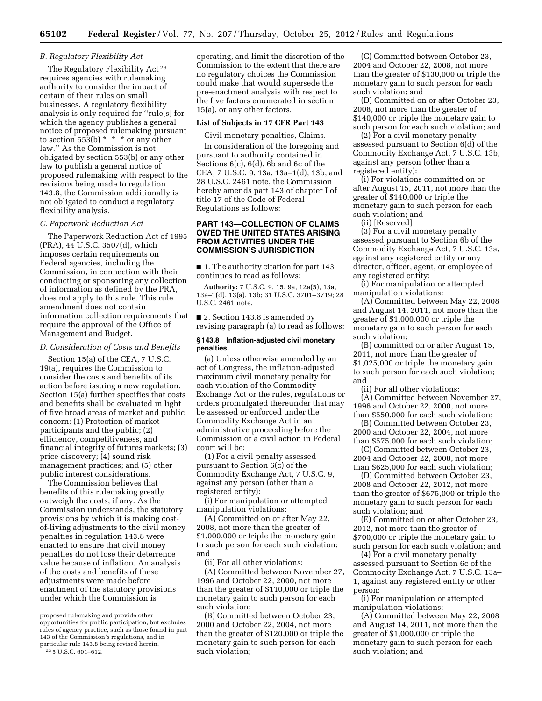## *B. Regulatory Flexibility Act*

The Regulatory Flexibility Act<sup>23</sup> requires agencies with rulemaking authority to consider the impact of certain of their rules on small businesses. A regulatory flexibility analysis is only required for ''rule[s] for which the agency publishes a general notice of proposed rulemaking pursuant to section  $553(b) * * *$  or any other law.'' As the Commission is not obligated by section 553(b) or any other law to publish a general notice of proposed rulemaking with respect to the revisions being made to regulation 143.8, the Commission additionally is not obligated to conduct a regulatory flexibility analysis.

## *C. Paperwork Reduction Act*

The Paperwork Reduction Act of 1995 (PRA), 44 U.S.C. 3507(d), which imposes certain requirements on Federal agencies, including the Commission, in connection with their conducting or sponsoring any collection of information as defined by the PRA, does not apply to this rule. This rule amendment does not contain information collection requirements that require the approval of the Office of Management and Budget.

#### *D. Consideration of Costs and Benefits*

Section 15(a) of the CEA, 7 U.S.C. 19(a), requires the Commission to consider the costs and benefits of its action before issuing a new regulation. Section 15(a) further specifies that costs and benefits shall be evaluated in light of five broad areas of market and public concern: (1) Protection of market participants and the public; (2) efficiency, competitiveness, and financial integrity of futures markets; (3) price discovery; (4) sound risk management practices; and (5) other public interest considerations.

The Commission believes that benefits of this rulemaking greatly outweigh the costs, if any. As the Commission understands, the statutory provisions by which it is making costof-living adjustments to the civil money penalties in regulation 143.8 were enacted to ensure that civil money penalties do not lose their deterrence value because of inflation. An analysis of the costs and benefits of these adjustments were made before enactment of the statutory provisions under which the Commission is

operating, and limit the discretion of the Commission to the extent that there are no regulatory choices the Commission could make that would supersede the pre-enactment analysis with respect to the five factors enumerated in section 15(a), or any other factors.

### **List of Subjects in 17 CFR Part 143**

Civil monetary penalties, Claims.

In consideration of the foregoing and pursuant to authority contained in Sections 6(c), 6(d), 6b and 6c of the CEA, 7 U.S.C. 9, 13a, 13a–1(d), 13b, and 28 U.S.C. 2461 note, the Commission hereby amends part 143 of chapter I of title 17 of the Code of Federal Regulations as follows:

# **PART 143—COLLECTION OF CLAIMS OWED THE UNITED STATES ARISING FROM ACTIVITIES UNDER THE COMMISSION'S JURISDICTION**

■ 1. The authority citation for part 143 continues to read as follows:

**Authority:** 7 U.S.C. 9, 15, 9a, 12a(5), 13a, 13a–1(d), 13(a), 13b; 31 U.S.C. 3701–3719; 28 U.S.C. 2461 note.

■ 2. Section 143.8 is amended by revising paragraph (a) to read as follows:

## **§ 143.8 Inflation-adjusted civil monetary penalties.**

(a) Unless otherwise amended by an act of Congress, the inflation-adjusted maximum civil monetary penalty for each violation of the Commodity Exchange Act or the rules, regulations or orders promulgated thereunder that may be assessed or enforced under the Commodity Exchange Act in an administrative proceeding before the Commission or a civil action in Federal court will be:

(1) For a civil penalty assessed pursuant to Section 6(c) of the Commodity Exchange Act, 7 U.S.C. 9, against any person (other than a registered entity):

(i) For manipulation or attempted manipulation violations:

(A) Committed on or after May 22, 2008, not more than the greater of \$1,000,000 or triple the monetary gain to such person for each such violation; and

(ii) For all other violations:

(A) Committed between November 27, 1996 and October 22, 2000, not more than the greater of \$110,000 or triple the monetary gain to such person for each such violation;

(B) Committed between October 23, 2000 and October 22, 2004, not more than the greater of \$120,000 or triple the monetary gain to such person for each such violation;

(C) Committed between October 23, 2004 and October 22, 2008, not more than the greater of \$130,000 or triple the monetary gain to such person for each such violation; and

(D) Committed on or after October 23, 2008, not more than the greater of \$140,000 or triple the monetary gain to such person for each such violation; and

(2) For a civil monetary penalty assessed pursuant to Section 6(d) of the Commodity Exchange Act, 7 U.S.C. 13b, against any person (other than a registered entity):

(i) For violations committed on or after August 15, 2011, not more than the greater of \$140,000 or triple the monetary gain to such person for each such violation; and

(ii) [Reserved]

(3) For a civil monetary penalty assessed pursuant to Section 6b of the Commodity Exchange Act, 7 U.S.C. 13a, against any registered entity or any director, officer, agent, or employee of any registered entity:

(i) For manipulation or attempted manipulation violations:

(A) Committed between May 22, 2008 and August 14, 2011, not more than the greater of \$1,000,000 or triple the monetary gain to such person for each such violation;

(B) committed on or after August 15, 2011, not more than the greater of \$1,025,000 or triple the monetary gain to such person for each such violation; and

(ii) For all other violations:

(A) Committed between November 27, 1996 and October 22, 2000, not more than \$550,000 for each such violation;

(B) Committed between October 23, 2000 and October 22, 2004, not more

than \$575,000 for each such violation; (C) Committed between October 23, 2004 and October 22, 2008, not more than \$625,000 for each such violation;

(D) Committed between October 23, 2008 and October 22, 2012, not more than the greater of \$675,000 or triple the monetary gain to such person for each such violation; and

(E) Committed on or after October 23, 2012, not more than the greater of \$700,000 or triple the monetary gain to such person for each such violation; and

(4) For a civil monetary penalty assessed pursuant to Section 6c of the Commodity Exchange Act, 7 U.S.C. 13a– 1, against any registered entity or other person:

(i) For manipulation or attempted manipulation violations:

(A) Committed between May 22, 2008 and August 14, 2011, not more than the greater of \$1,000,000 or triple the monetary gain to such person for each such violation; and

proposed rulemaking and provide other opportunities for public participation, but excludes rules of agency practice, such as those found in part 143 of the Commission's regulations, and in particular rule 143.8 being revised herein. 23 5 U.S.C. 601–612.